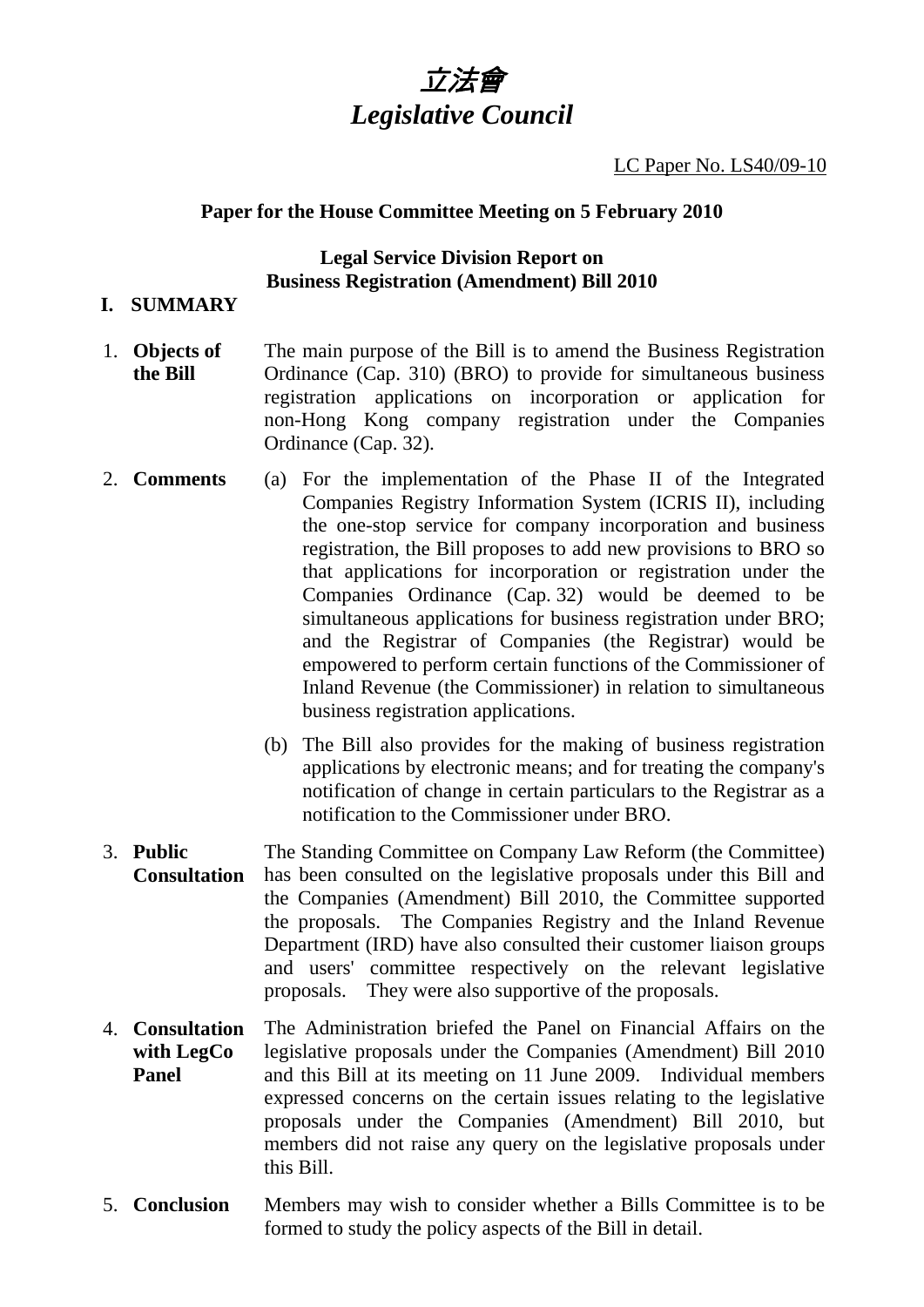# 立法會 *Legislative Council*

#### LC Paper No. LS40/09-10

## **Paper for the House Committee Meeting on 5 February 2010**

# **Legal Service Division Report on Business Registration (Amendment) Bill 2010**

## **I. SUMMARY**

- 1. **Objects of the Bill**  The main purpose of the Bill is to amend the Business Registration Ordinance (Cap. 310) (BRO) to provide for simultaneous business registration applications on incorporation or application for non-Hong Kong company registration under the Companies Ordinance (Cap. 32).
- 2. **Comments** (a) For the implementation of the Phase II of the Integrated Companies Registry Information System (ICRIS II), including the one-stop service for company incorporation and business registration, the Bill proposes to add new provisions to BRO so that applications for incorporation or registration under the Companies Ordinance (Cap. 32) would be deemed to be simultaneous applications for business registration under BRO; and the Registrar of Companies (the Registrar) would be empowered to perform certain functions of the Commissioner of Inland Revenue (the Commissioner) in relation to simultaneous business registration applications.
	- (b) The Bill also provides for the making of business registration applications by electronic means; and for treating the company's notification of change in certain particulars to the Registrar as a notification to the Commissioner under BRO.
- 3. **Public Consultation**  The Standing Committee on Company Law Reform (the Committee) has been consulted on the legislative proposals under this Bill and the Companies (Amendment) Bill 2010, the Committee supported the proposals. The Companies Registry and the Inland Revenue Department (IRD) have also consulted their customer liaison groups and users' committee respectively on the relevant legislative proposals. They were also supportive of the proposals.
- 4. **Consultation with LegCo Panel**  The Administration briefed the Panel on Financial Affairs on the legislative proposals under the Companies (Amendment) Bill 2010 and this Bill at its meeting on 11 June 2009. Individual members expressed concerns on the certain issues relating to the legislative proposals under the Companies (Amendment) Bill 2010, but members did not raise any query on the legislative proposals under this Bill.
- 5. **Conclusion** Members may wish to consider whether a Bills Committee is to be formed to study the policy aspects of the Bill in detail.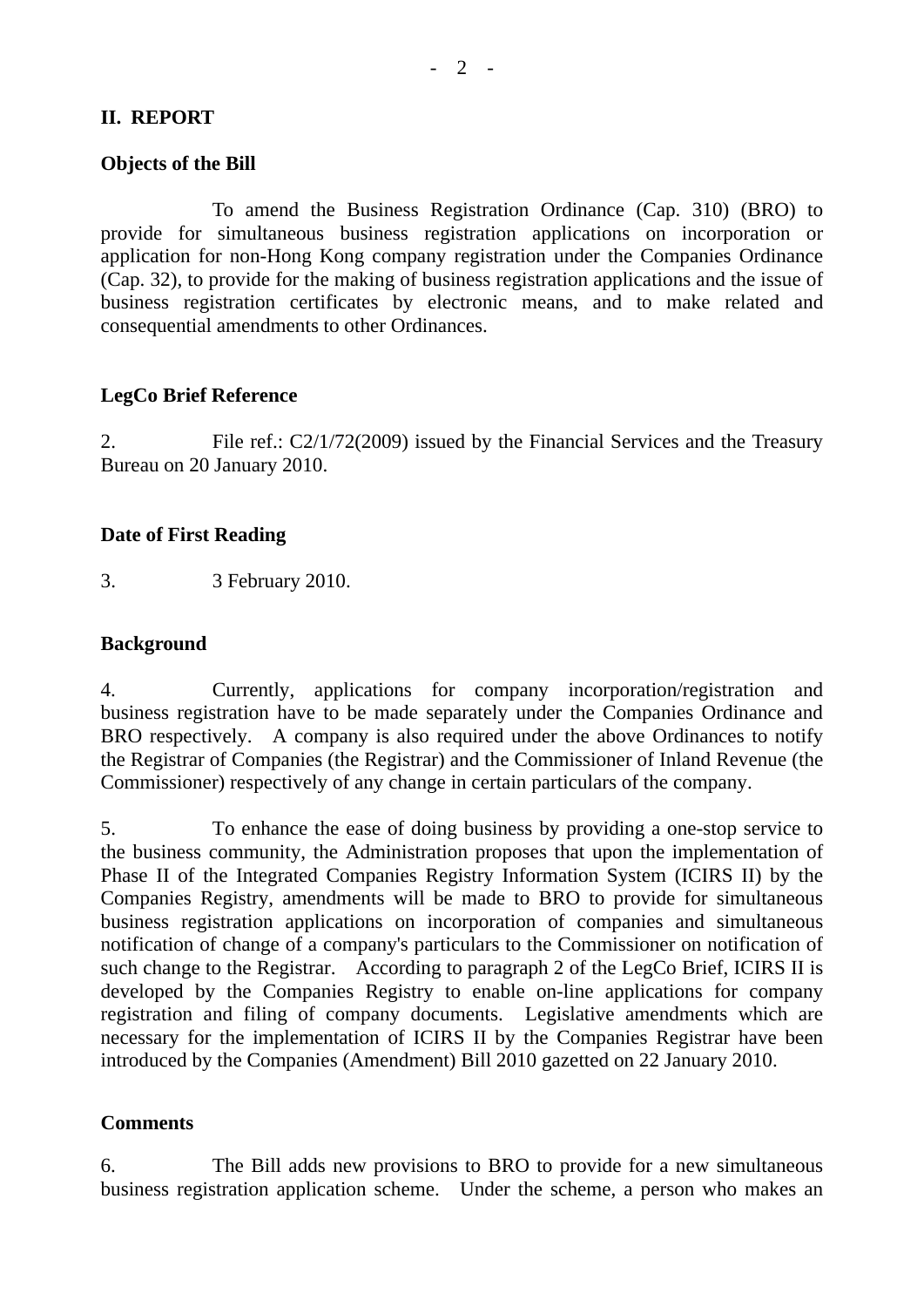## **II. REPORT**

#### **Objects of the Bill**

 To amend the Business Registration Ordinance (Cap. 310) (BRO) to provide for simultaneous business registration applications on incorporation or application for non-Hong Kong company registration under the Companies Ordinance (Cap. 32), to provide for the making of business registration applications and the issue of business registration certificates by electronic means, and to make related and consequential amendments to other Ordinances.

#### **LegCo Brief Reference**

2. File ref.: C2/1/72(2009) issued by the Financial Services and the Treasury Bureau on 20 January 2010.

#### **Date of First Reading**

3. 3 February 2010.

#### **Background**

4. Currently, applications for company incorporation/registration and business registration have to be made separately under the Companies Ordinance and BRO respectively. A company is also required under the above Ordinances to notify the Registrar of Companies (the Registrar) and the Commissioner of Inland Revenue (the Commissioner) respectively of any change in certain particulars of the company.

5. To enhance the ease of doing business by providing a one-stop service to the business community, the Administration proposes that upon the implementation of Phase II of the Integrated Companies Registry Information System (ICIRS II) by the Companies Registry, amendments will be made to BRO to provide for simultaneous business registration applications on incorporation of companies and simultaneous notification of change of a company's particulars to the Commissioner on notification of such change to the Registrar. According to paragraph 2 of the LegCo Brief, ICIRS II is developed by the Companies Registry to enable on-line applications for company registration and filing of company documents. Legislative amendments which are necessary for the implementation of ICIRS II by the Companies Registrar have been introduced by the Companies (Amendment) Bill 2010 gazetted on 22 January 2010.

#### **Comments**

6. The Bill adds new provisions to BRO to provide for a new simultaneous business registration application scheme. Under the scheme, a person who makes an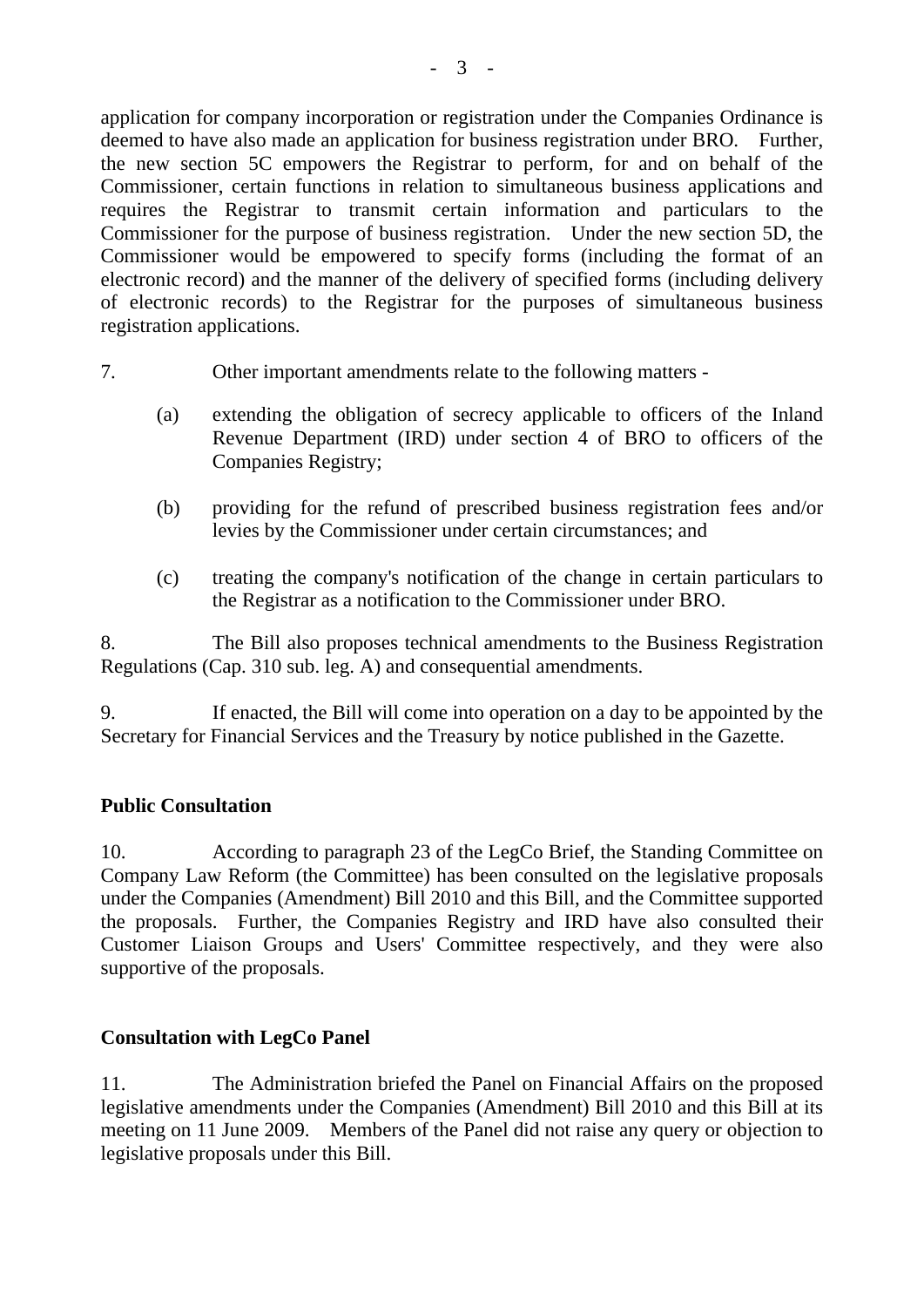application for company incorporation or registration under the Companies Ordinance is deemed to have also made an application for business registration under BRO. Further, the new section 5C empowers the Registrar to perform, for and on behalf of the Commissioner, certain functions in relation to simultaneous business applications and requires the Registrar to transmit certain information and particulars to the Commissioner for the purpose of business registration. Under the new section 5D, the Commissioner would be empowered to specify forms (including the format of an electronic record) and the manner of the delivery of specified forms (including delivery of electronic records) to the Registrar for the purposes of simultaneous business registration applications.

- 7. Other important amendments relate to the following matters
	- (a) extending the obligation of secrecy applicable to officers of the Inland Revenue Department (IRD) under section 4 of BRO to officers of the Companies Registry;
	- (b) providing for the refund of prescribed business registration fees and/or levies by the Commissioner under certain circumstances; and
	- (c) treating the company's notification of the change in certain particulars to the Registrar as a notification to the Commissioner under BRO.

8. The Bill also proposes technical amendments to the Business Registration Regulations (Cap. 310 sub. leg. A) and consequential amendments.

9. If enacted, the Bill will come into operation on a day to be appointed by the Secretary for Financial Services and the Treasury by notice published in the Gazette.

# **Public Consultation**

10. According to paragraph 23 of the LegCo Brief, the Standing Committee on Company Law Reform (the Committee) has been consulted on the legislative proposals under the Companies (Amendment) Bill 2010 and this Bill, and the Committee supported the proposals. Further, the Companies Registry and IRD have also consulted their Customer Liaison Groups and Users' Committee respectively, and they were also supportive of the proposals.

# **Consultation with LegCo Panel**

11. The Administration briefed the Panel on Financial Affairs on the proposed legislative amendments under the Companies (Amendment) Bill 2010 and this Bill at its meeting on 11 June 2009. Members of the Panel did not raise any query or objection to legislative proposals under this Bill.